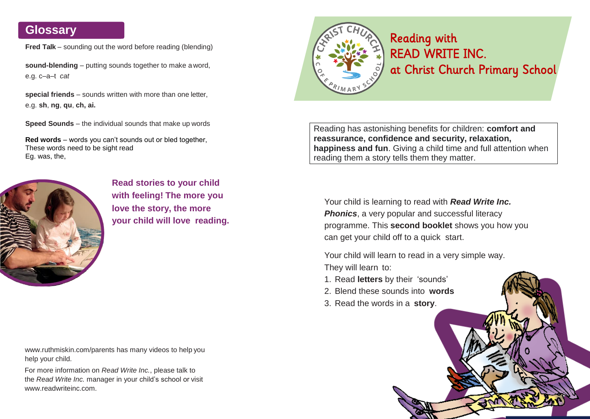**Fred Talk** – sounding out the word before reading (blending)

**sound-blending** – putting sounds together to make a word, e.g. c–a–t *cat*

**special friends** – sounds written with more than one letter, e.g. **sh**, **ng**, **qu**, **ch, ai.**

**Speed Sounds** – the individual sounds that make up words

**Red words** – words you can't sounds out or bled together, These words need to be sight read Eg. was, the,



**Read stories to your child with feeling! The more you love the story, the more your child will love reading.**

[www.ruthmiskin.com/parents](http://www.ruthmiskin.com/parents) has many videos to help you help your child.

For more information on *Read Write Inc.*, please talk to the *Read Write Inc.* manager in your child's school or visit [www.readwriteinc.com.](http://www.readwriteinc.com/)



# READ WRITE INC. at Christ Church Primary School

Reading has astonishing benefits for children: **comfort and reassurance, confidence and security, relaxation, happiness and fun**. Giving a child time and full attention when reading them a story tells them they matter.

Your child is learning to read with *Read Write Inc.*  **Phonics**, a very popular and successful literacy programme. This **second booklet** shows you how you can get your child off to a quick start.

Your child will learn to read in a very simple way. They will learn to:

- 1. Read **letters** by their 'sounds'
- 2. Blend these sounds into **words**
- 3. Read the words in a **story**.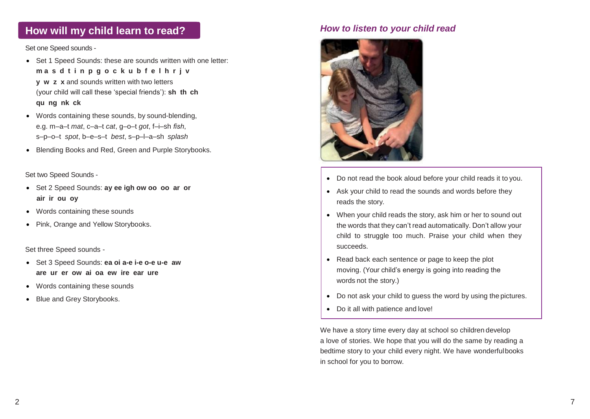# **How will my child learn to read?** *How to listen to your child read*

### Set one Speed sounds -

- Set 1 Speed Sounds: these are sounds written with one letter: **m a s d t i n p g o c k u b f e l h r j v y w z x** and sounds written with two letters • (your child will call these 'special friends'): **sh th ch qu ng nk ck**
- Words containing these sounds, by sound-blending, e.g. m–a–t *mat*, c–a–t *cat*, g–o–t *got*, f–i–sh *fish*, s–p–o–t *spot*, b–e–s–t *best*, s–p–l–a–sh *splash*
- Blending Books and Red, Green and Purple Storybooks.

Set two Speed Sounds -

- Set 2 Speed Sounds: **ay ee igh ow oo oo ar or air ir ou oy**
- Words containing these sounds
- Pink, Orange and Yellow Storybooks.

Set three Speed sounds -

- Set 3 Speed Sounds: **ea oi a-e i-e o-e u-e aw are ur er ow ai oa ew ire ear ure**
- Words containing these sounds
- Blue and Grey Storybooks.



- Do not read the book aloud before your child reads it to you.
- Ask your child to read the sounds and words before they reads the story.
- When your child reads the story, ask him or her to sound out the words that they can't read automatically. Don't allow your child to struggle too much. Praise your child when they succeeds.
- Read back each sentence or page to keep the plot moving. (Your child's energy is going into reading the words not the story.)
- Do not ask your child to guess the word by using the pictures.
- Do it all with patience and love!

We have a story time every day at school so children develop a love of stories. We hope that you will do the same by reading a bedtime story to your child every night. We have wonderfulbooks in school for you to borrow.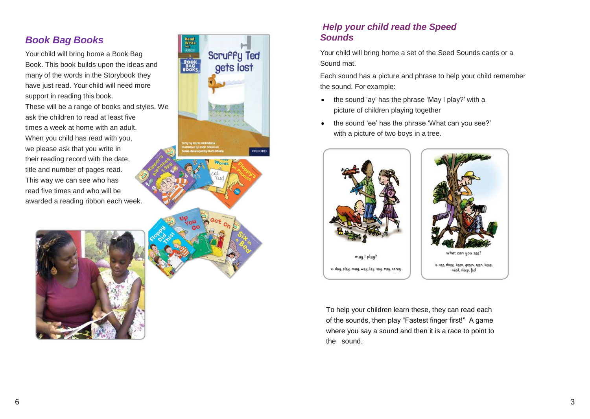# *Book Bag Books*

Your child will bring home a Book Bag Book. This book builds upon the ideas and many of the words in the Storybook they have just read. Your child will need more support in reading this book.

These will be a range of books and styles. We ask the children to read at least five times a week at home with an adult. When you child has read with you, we please ask that you write in their reading record with the date, title and number of pages read. This way we can see who has read five times and who will be awarded a reading ribbon each week.





# *Help your child read the Speed Sounds*

Your child will bring home a set of the Seed Sounds cards or a Sound mat.

Each sound has a picture and phrase to help your child remember the sound. For example:

- the sound 'ay' has the phrase 'May I play?' with a picture of children playing together
- the sound 'ee' has the phrase 'What can you see?' with a picture of two boys in a tree.



To help your children learn these, they can read each of the sounds, then play "Fastest finger first!" A game where you say a sound and then it is a race to point to the sound.